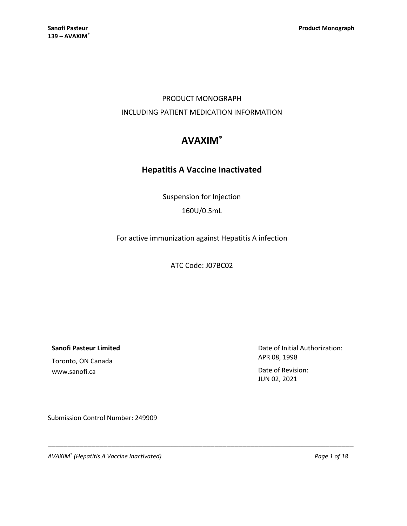## PRODUCT MONOGRAPH INCLUDING PATIENT MEDICATION INFORMATION

# **AVAXIM®**

## **Hepatitis A Vaccine Inactivated**

Suspension for Injection 160U/0.5mL

For active immunization against Hepatitis A infection

ATC Code: J07BC02

\_\_\_\_\_\_\_\_\_\_\_\_\_\_\_\_\_\_\_\_\_\_\_\_\_\_\_\_\_\_\_\_\_\_\_\_\_\_\_\_\_\_\_\_\_\_\_\_\_\_\_\_\_\_\_\_\_\_\_\_\_\_\_\_\_\_\_\_\_\_\_\_\_\_\_\_\_

**Sanofi Pasteur Limited**

Toronto, ON Canada www.sanofi.ca

Date of Initial Authorization: APR 08, 1998

Date of Revision: JUN 02, 2021

Submission Control Number: 249909

*AVAXIM® (Hepatitis A Vaccine Inactivated) Page 1 of 18*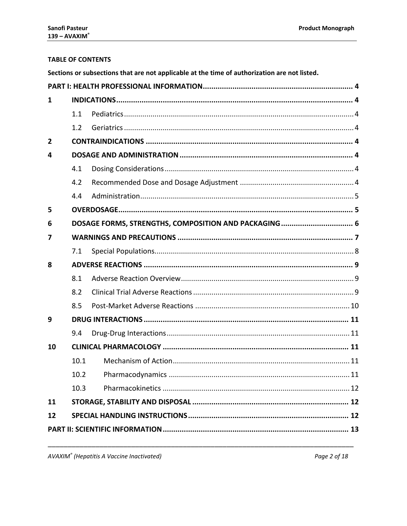## **TABLE OF CONTENTS**

| Sections or subsections that are not applicable at the time of authorization are not listed. |  |  |  |
|----------------------------------------------------------------------------------------------|--|--|--|
|                                                                                              |  |  |  |

| $\mathbf{1}$   |      |  |  |  |
|----------------|------|--|--|--|
|                | 1.1  |  |  |  |
|                | 1.2  |  |  |  |
| $\overline{2}$ |      |  |  |  |
| 4              |      |  |  |  |
|                | 4.1  |  |  |  |
|                | 4.2  |  |  |  |
|                | 4.4  |  |  |  |
| 5              |      |  |  |  |
| 6              |      |  |  |  |
| 7              |      |  |  |  |
|                | 7.1  |  |  |  |
| 8              |      |  |  |  |
|                | 8.1  |  |  |  |
|                | 8.2  |  |  |  |
|                | 8.5  |  |  |  |
| 9              |      |  |  |  |
|                | 9.4  |  |  |  |
| 10             |      |  |  |  |
|                | 10.1 |  |  |  |
|                | 10.2 |  |  |  |
|                | 10.3 |  |  |  |
| 11             |      |  |  |  |
| 12             |      |  |  |  |
|                |      |  |  |  |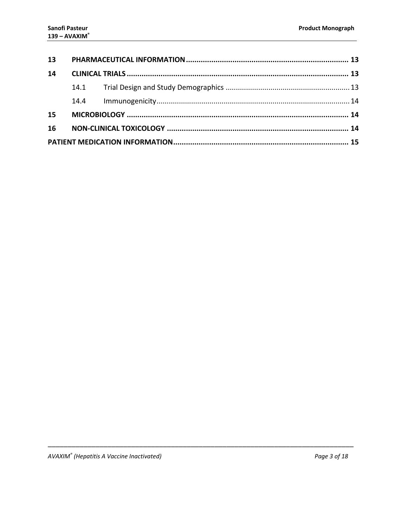| 13 |      |  |  |
|----|------|--|--|
| 14 |      |  |  |
|    |      |  |  |
|    | 14.4 |  |  |
| 15 |      |  |  |
| 16 |      |  |  |
|    |      |  |  |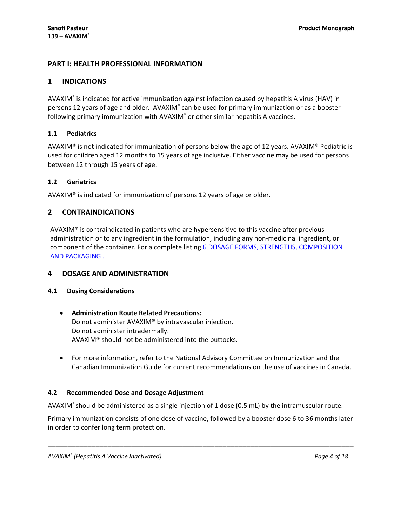## <span id="page-3-0"></span>**PART I: HEALTH PROFESSIONAL INFORMATION**

## <span id="page-3-1"></span>**1 INDICATIONS**

AVAXIM® is indicated for active immunization against infection caused by hepatitis A virus (HAV) in persons 12 years of age and older. AVAXIM<sup>®</sup> can be used for primary immunization or as a booster following primary immunization with AVAXIM<sup>®</sup> or other similar hepatitis A vaccines.

### <span id="page-3-2"></span>**1.1 Pediatrics**

AVAXIM<sup>®</sup> is not indicated for immunization of persons below the age of 12 years. AVAXIM<sup>®</sup> Pediatric is used for children aged 12 months to 15 years of age inclusive. Either vaccine may be used for persons between 12 through 15 years of age.

### <span id="page-3-3"></span>**1.2 Geriatrics**

<span id="page-3-4"></span>AVAXIM® is indicated for immunization of persons 12 years of age or older.

## **2 CONTRAINDICATIONS**

AVAXIM<sup>®</sup> is contraindicated in patients who are hypersensitive to this vaccine after previous administration or to any ingredient in the formulation, including any non-medicinal ingredient, or component of the container. For a complete listing [6 DOSAGE FORMS, STRENGTHS, COMPOSITION](#page-5-0)  [AND PACKAGING](#page-5-0) .

### <span id="page-3-5"></span>**4 DOSAGE AND ADMINISTRATION**

### <span id="page-3-6"></span>**4.1 Dosing Considerations**

## • **Administration Route Related Precautions:** Do not administer AVAXIM® by intravascular injection. Do not administer intradermally. AVAXIM® should not be administered into the buttocks.

• For more information, refer to the National Advisory Committee on Immunization and the Canadian Immunization Guide for current recommendations on the use of vaccines in Canada.

### <span id="page-3-7"></span>**4.2 Recommended Dose and Dosage Adjustment**

AVAXIM® should be administered as a single injection of 1 dose (0.5 mL) by the intramuscular route.

Primary immunization consists of one dose of vaccine, followed by a booster dose 6 to 36 months later in order to confer long term protection.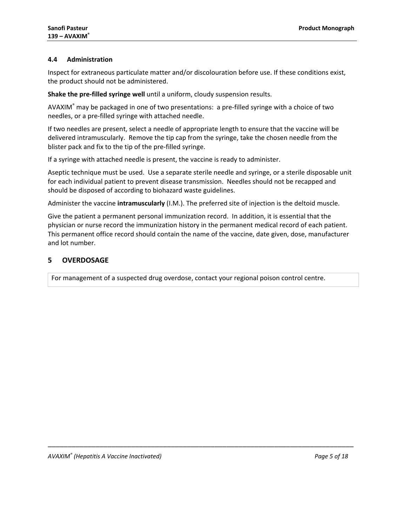### <span id="page-4-0"></span>**4.4 Administration**

Inspect for extraneous particulate matter and/or discolouration before use. If these conditions exist, the product should not be administered.

**Shake the pre-filled syringe well** until a uniform, cloudy suspension results.

AVAXIM<sup>®</sup> may be packaged in one of two presentations: a pre-filled syringe with a choice of two needles, or a pre-filled syringe with attached needle.

If two needles are present, select a needle of appropriate length to ensure that the vaccine will be delivered intramuscularly. Remove the tip cap from the syringe, take the chosen needle from the blister pack and fix to the tip of the pre-filled syringe.

If a syringe with attached needle is present, the vaccine is ready to administer.

Aseptic technique must be used. Use a separate sterile needle and syringe, or a sterile disposable unit for each individual patient to prevent disease transmission. Needles should not be recapped and should be disposed of according to biohazard waste guidelines.

Administer the vaccine **intramuscularly** (I.M.). The preferred site of injection is the deltoid muscle.

Give the patient a permanent personal immunization record. In addition, it is essential that the physician or nurse record the immunization history in the permanent medical record of each patient. This permanent office record should contain the name of the vaccine, date given, dose, manufacturer and lot number.

\_\_\_\_\_\_\_\_\_\_\_\_\_\_\_\_\_\_\_\_\_\_\_\_\_\_\_\_\_\_\_\_\_\_\_\_\_\_\_\_\_\_\_\_\_\_\_\_\_\_\_\_\_\_\_\_\_\_\_\_\_\_\_\_\_\_\_\_\_\_\_\_\_\_\_\_\_

## <span id="page-4-1"></span>**5 OVERDOSAGE**

For management of a suspected drug overdose, contact your regional poison control centre.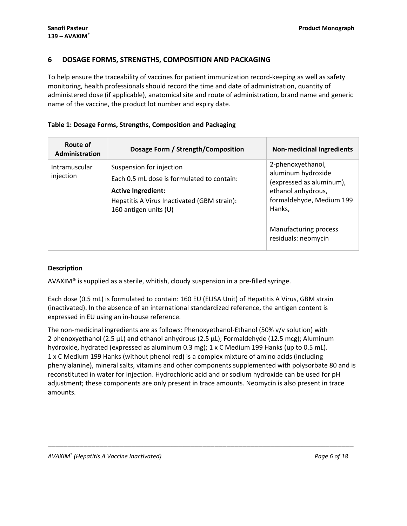## <span id="page-5-0"></span>**6 DOSAGE FORMS, STRENGTHS, COMPOSITION AND PACKAGING**

To help ensure the traceability of vaccines for patient immunization record-keeping as well as safety monitoring, health professionals should record the time and date of administration, quantity of administered dose (if applicable), anatomical site and route of administration, brand name and generic name of the vaccine, the product lot number and expiry date.

### **Table 1: Dosage Forms, Strengths, Composition and Packaging**

| Route of<br>Administration | Dosage Form / Strength/Composition                                                                                                                                          | <b>Non-medicinal Ingredients</b>                                                                                                                                                |
|----------------------------|-----------------------------------------------------------------------------------------------------------------------------------------------------------------------------|---------------------------------------------------------------------------------------------------------------------------------------------------------------------------------|
| Intramuscular<br>injection | Suspension for injection<br>Each 0.5 mL dose is formulated to contain:<br><b>Active Ingredient:</b><br>Hepatitis A Virus Inactivated (GBM strain):<br>160 antigen units (U) | 2-phenoxyethanol,<br>aluminum hydroxide<br>(expressed as aluminum),<br>ethanol anhydrous,<br>formaldehyde, Medium 199<br>Hanks,<br>Manufacturing process<br>residuals: neomycin |

### **Description**

AVAXIM® is supplied as a sterile, whitish, cloudy suspension in a pre-filled syringe.

Each dose (0.5 mL) is formulated to contain: 160 EU (ELISA Unit) of Hepatitis A Virus, GBM strain (inactivated). In the absence of an international standardized reference, the antigen content is expressed in EU using an in-house reference.

The non-medicinal ingredients are as follows: Phenoxyethanol-Ethanol (50% v/v solution) with 2 phenoxyethanol (2.5  $\mu$ L) and ethanol anhydrous (2.5  $\mu$ L); Formaldehyde (12.5 mcg); Aluminum hydroxide, hydrated (expressed as aluminum 0.3 mg); 1 x C Medium 199 Hanks (up to 0.5 mL). 1 x C Medium 199 Hanks (without phenol red) is a complex mixture of amino acids (including phenylalanine), mineral salts, vitamins and other components supplemented with polysorbate 80 and is reconstituted in water for injection. Hydrochloric acid and or sodium hydroxide can be used for pH adjustment; these components are only present in trace amounts. Neomycin is also present in trace amounts.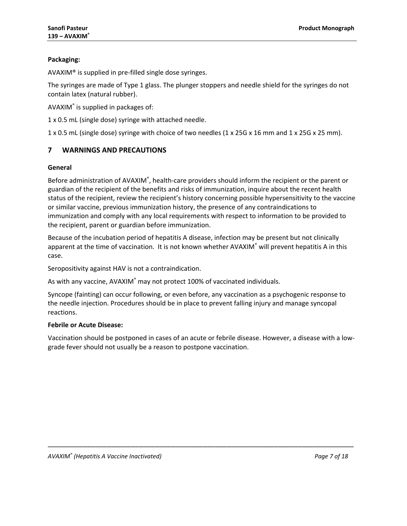## **Packaging:**

AVAXIM® is supplied in pre-filled single dose syringes.

The syringes are made of Type 1 glass. The plunger stoppers and needle shield for the syringes do not contain latex (natural rubber).

AVAXIM® is supplied in packages of:

1 x 0.5 mL (single dose) syringe with attached needle.

<span id="page-6-0"></span>1 x 0.5 mL (single dose) syringe with choice of two needles (1 x 25G x 16 mm and 1 x 25G x 25 mm).

## **7 WARNINGS AND PRECAUTIONS**

#### **General**

Before administration of AVAXIM®, health-care providers should inform the recipient or the parent or guardian of the recipient of the benefits and risks of immunization, inquire about the recent health status of the recipient, review the recipient's history concerning possible hypersensitivity to the vaccine or similar vaccine, previous immunization history, the presence of any contraindications to immunization and comply with any local requirements with respect to information to be provided to the recipient, parent or guardian before immunization.

Because of the incubation period of hepatitis A disease, infection may be present but not clinically apparent at the time of vaccination. It is not known whether AVAXIM® will prevent hepatitis A in this case.

Seropositivity against HAV is not a contraindication.

As with any vaccine, AVAXIM<sup>®</sup> may not protect 100% of vaccinated individuals.

Syncope (fainting) can occur following, or even before, any vaccination as a psychogenic response to the needle injection. Procedures should be in place to prevent falling injury and manage syncopal reactions.

### **Febrile or Acute Disease:**

Vaccination should be postponed in cases of an acute or febrile disease. However, a disease with a lowgrade fever should not usually be a reason to postpone vaccination.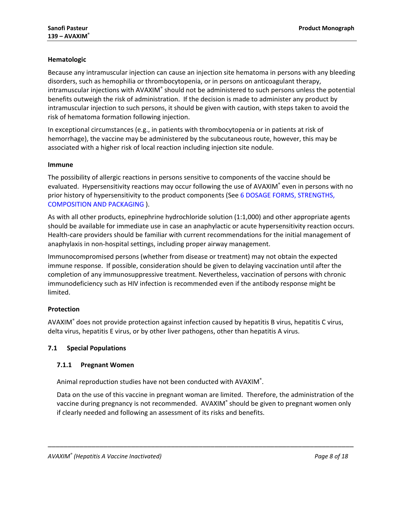## **Hematologic**

Because any intramuscular injection can cause an injection site hematoma in persons with any bleeding disorders, such as hemophilia or thrombocytopenia, or in persons on anticoagulant therapy, intramuscular injections with AVAXIM® should not be administered to such persons unless the potential benefits outweigh the risk of administration. If the decision is made to administer any product by intramuscular injection to such persons, it should be given with caution, with steps taken to avoid the risk of hematoma formation following injection.

In exceptional circumstances (e.g., in patients with thrombocytopenia or in patients at risk of hemorrhage), the vaccine may be administered by the subcutaneous route, however, this may be associated with a higher risk of local reaction including injection site nodule.

### **Immune**

The possibility of allergic reactions in persons sensitive to components of the vaccine should be evaluated. Hypersensitivity reactions may occur following the use of AVAXIM<sup>®</sup> even in persons with no prior history of hypersensitivity to the product components (See [6 DOSAGE FORMS, STRENGTHS,](#page-5-0)  [COMPOSITION AND PACKAGING](#page-5-0) ).

As with all other products, epinephrine hydrochloride solution (1:1,000) and other appropriate agents should be available for immediate use in case an anaphylactic or acute hypersensitivity reaction occurs. Health-care providers should be familiar with current recommendations for the initial management of anaphylaxis in non-hospital settings, including proper airway management.

Immunocompromised persons (whether from disease or treatment) may not obtain the expected immune response. If possible, consideration should be given to delaying vaccination until after the completion of any immunosuppressive treatment. Nevertheless, vaccination of persons with chronic immunodeficiency such as HIV infection is recommended even if the antibody response might be limited.

### **Protection**

AVAXIM® does not provide protection against infection caused by hepatitis B virus, hepatitis C virus, delta virus, hepatitis E virus, or by other liver pathogens, other than hepatitis A virus.

### <span id="page-7-0"></span>**7.1 Special Populations**

## **7.1.1 Pregnant Women**

Animal reproduction studies have not been conducted with AVAXIM®.

Data on the use of this vaccine in pregnant woman are limited. Therefore, the administration of the vaccine during pregnancy is not recommended. AVAXIM® should be given to pregnant women only if clearly needed and following an assessment of its risks and benefits.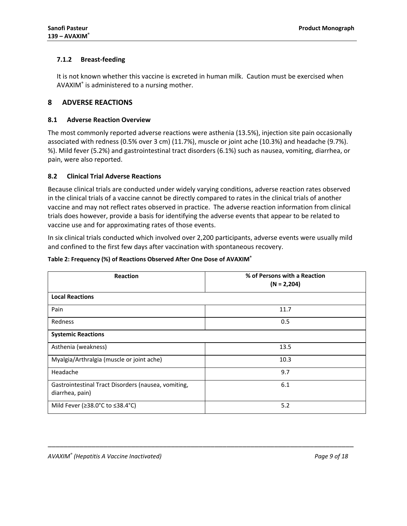## **7.1.2 Breast-feeding**

It is not known whether this vaccine is excreted in human milk. Caution must be exercised when AVAXIM® is administered to a nursing mother.

## <span id="page-8-0"></span>**8 ADVERSE REACTIONS**

#### <span id="page-8-1"></span>**8.1 Adverse Reaction Overview**

The most commonly reported adverse reactions were asthenia (13.5%), injection site pain occasionally associated with redness (0.5% over 3 cm) (11.7%), muscle or joint ache (10.3%) and headache (9.7%). %). Mild fever (5.2%) and gastrointestinal tract disorders (6.1%) such as nausea, vomiting, diarrhea, or pain, were also reported.

### <span id="page-8-2"></span>**8.2 Clinical Trial Adverse Reactions**

Because clinical trials are conducted under widely varying conditions, adverse reaction rates observed in the clinical trials of a vaccine cannot be directly compared to rates in the clinical trials of another vaccine and may not reflect rates observed in practice. The adverse reaction information from clinical trials does however, provide a basis for identifying the adverse events that appear to be related to vaccine use and for approximating rates of those events.

In six clinical trials conducted which involved over 2,200 participants, adverse events were usually mild and confined to the first few days after vaccination with spontaneous recovery.

| <b>Reaction</b>                                                        | % of Persons with a Reaction<br>$(N = 2,204)$ |
|------------------------------------------------------------------------|-----------------------------------------------|
| <b>Local Reactions</b>                                                 |                                               |
| Pain                                                                   | 11.7                                          |
| Redness                                                                | 0.5                                           |
| <b>Systemic Reactions</b>                                              |                                               |
| Asthenia (weakness)                                                    | 13.5                                          |
| Myalgia/Arthralgia (muscle or joint ache)                              | 10.3                                          |
| Headache                                                               | 9.7                                           |
| Gastrointestinal Tract Disorders (nausea, vomiting,<br>diarrhea, pain) | 6.1                                           |
| Mild Fever (≥38.0°C to ≤38.4°C)                                        | 5.2                                           |

\_\_\_\_\_\_\_\_\_\_\_\_\_\_\_\_\_\_\_\_\_\_\_\_\_\_\_\_\_\_\_\_\_\_\_\_\_\_\_\_\_\_\_\_\_\_\_\_\_\_\_\_\_\_\_\_\_\_\_\_\_\_\_\_\_\_\_\_\_\_\_\_\_\_\_\_\_

#### **Table 2: Frequency (%) of Reactions Observed After One Dose of AVAXIM®**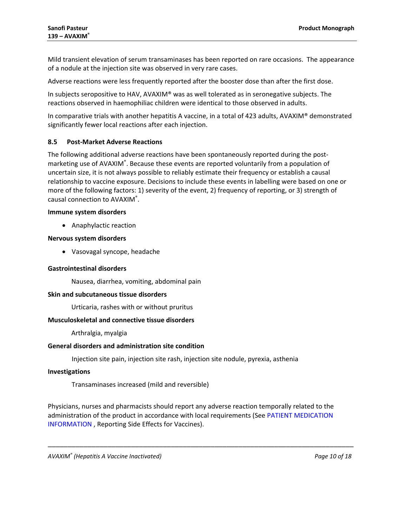Mild transient elevation of serum transaminases has been reported on rare occasions. The appearance of a nodule at the injection site was observed in very rare cases.

Adverse reactions were less frequently reported after the booster dose than after the first dose.

In subjects seropositive to HAV, AVAXIM® was as well tolerated as in seronegative subjects. The reactions observed in haemophiliac children were identical to those observed in adults.

In comparative trials with another hepatitis A vaccine, in a total of 423 adults, AVAXIM® demonstrated significantly fewer local reactions after each injection.

#### <span id="page-9-0"></span>**8.5 Post-Market Adverse Reactions**

The following additional adverse reactions have been spontaneously reported during the postmarketing use of AVAXIM®. Because these events are reported voluntarily from a population of uncertain size, it is not always possible to reliably estimate their frequency or establish a causal relationship to vaccine exposure. Decisions to include these events in labelling were based on one or more of the following factors: 1) severity of the event, 2) frequency of reporting, or 3) strength of causal connection to AVAXIM®.

#### **Immune system disorders**

• Anaphylactic reaction

#### **Nervous system disorders**

• Vasovagal syncope, headache

#### **Gastrointestinal disorders**

Nausea, diarrhea, vomiting, abdominal pain

#### **Skin and subcutaneous tissue disorders**

Urticaria, rashes with or without pruritus

#### **Musculoskeletal and connective tissue disorders**

Arthralgia, myalgia

#### **General disorders and administration site condition**

Injection site pain, injection site rash, injection site nodule, pyrexia, asthenia

#### **Investigations**

Transaminases increased (mild and reversible)

Physicians, nurses and pharmacists should report any adverse reaction temporally related to the administration of the product in accordance with local requirements (See [PATIENT MEDICATION](#page-14-0)  [INFORMATION](#page-14-0) , Reporting Side Effects for Vaccines).

\_\_\_\_\_\_\_\_\_\_\_\_\_\_\_\_\_\_\_\_\_\_\_\_\_\_\_\_\_\_\_\_\_\_\_\_\_\_\_\_\_\_\_\_\_\_\_\_\_\_\_\_\_\_\_\_\_\_\_\_\_\_\_\_\_\_\_\_\_\_\_\_\_\_\_\_\_

*AVAXIM® (Hepatitis A Vaccine Inactivated) Page 10 of 18*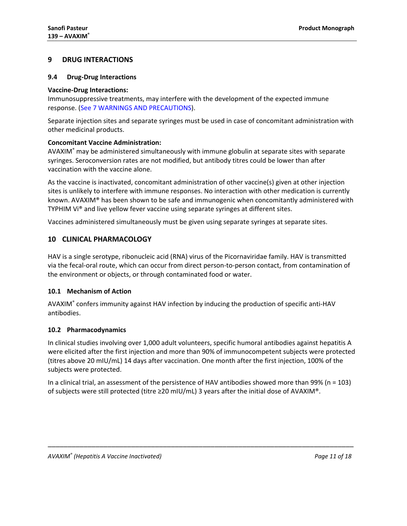## <span id="page-10-0"></span>**9 DRUG INTERACTIONS**

#### <span id="page-10-1"></span>**9.4 Drug-Drug Interactions**

#### **Vaccine-Drug Interactions:**

Immunosuppressive treatments, may interfere with the development of the expected immune response. (See 7 [WARNINGS AND PRECAUTIONS\)](#page-6-0).

Separate injection sites and separate syringes must be used in case of concomitant administration with other medicinal products.

#### **Concomitant Vaccine Administration:**

AVAXIM® may be administered simultaneously with immune globulin at separate sites with separate syringes. Seroconversion rates are not modified, but antibody titres could be lower than after vaccination with the vaccine alone.

As the vaccine is inactivated, concomitant administration of other vaccine(s) given at other injection sites is unlikely to interfere with immune responses. No interaction with other medication is currently known. AVAXIM® has been shown to be safe and immunogenic when concomitantly administered with TYPHIM Vi® and live yellow fever vaccine using separate syringes at different sites.

<span id="page-10-2"></span>Vaccines administered simultaneously must be given using separate syringes at separate sites.

## **10 CLINICAL PHARMACOLOGY**

HAV is a single serotype, ribonucleic acid (RNA) virus of the Picornaviridae family. HAV is transmitted via the fecal-oral route, which can occur from direct person-to-person contact, from contamination of the environment or objects, or through contaminated food or water.

### <span id="page-10-3"></span>**10.1 Mechanism of Action**

AVAXIM® confers immunity against HAV infection by inducing the production of specific anti-HAV antibodies.

### <span id="page-10-4"></span>**10.2 Pharmacodynamics**

In clinical studies involving over 1,000 adult volunteers, specific humoral antibodies against hepatitis A were elicited after the first injection and more than 90% of immunocompetent subjects were protected (titres above 20 mIU/mL) 14 days after vaccination. One month after the first injection, 100% of the subjects were protected.

In a clinical trial, an assessment of the persistence of HAV antibodies showed more than 99% (n = 103) of subjects were still protected (titre ≥20 mIU/mL) 3 years after the initial dose of AVAXIM®.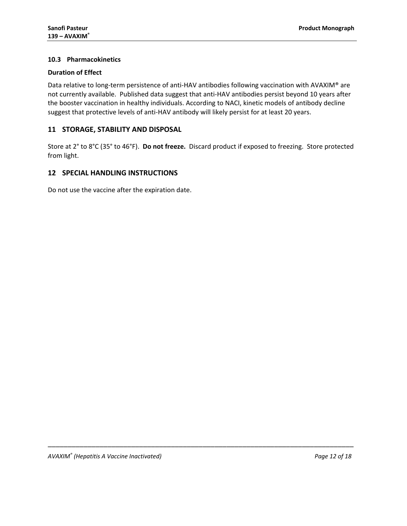## <span id="page-11-0"></span>**10.3 Pharmacokinetics**

## **Duration of Effect**

Data relative to long-term persistence of anti-HAV antibodies following vaccination with AVAXIM® are not currently available. Published data suggest that anti-HAV antibodies persist beyond 10 years after the booster vaccination in healthy individuals. According to NACI, kinetic models of antibody decline suggest that protective levels of anti-HAV antibody will likely persist for at least 20 years.

## <span id="page-11-1"></span>**11 STORAGE, STABILITY AND DISPOSAL**

Store at 2° to 8°C (35° to 46°F). **Do not freeze.** Discard product if exposed to freezing. Store protected from light.

\_\_\_\_\_\_\_\_\_\_\_\_\_\_\_\_\_\_\_\_\_\_\_\_\_\_\_\_\_\_\_\_\_\_\_\_\_\_\_\_\_\_\_\_\_\_\_\_\_\_\_\_\_\_\_\_\_\_\_\_\_\_\_\_\_\_\_\_\_\_\_\_\_\_\_\_\_

## <span id="page-11-2"></span>**12 SPECIAL HANDLING INSTRUCTIONS**

Do not use the vaccine after the expiration date.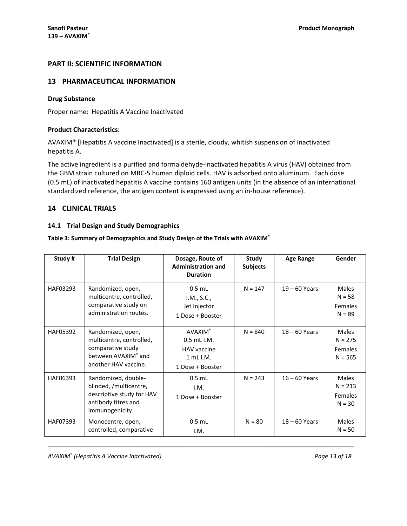## <span id="page-12-0"></span>**PART II: SCIENTIFIC INFORMATION**

## <span id="page-12-1"></span>**13 PHARMACEUTICAL INFORMATION**

#### **Drug Substance**

Proper name: Hepatitis A Vaccine Inactivated

#### **Product Characteristics:**

AVAXIM® [Hepatitis A vaccine Inactivated] is a sterile, cloudy, whitish suspension of inactivated hepatitis A.

The active ingredient is a purified and formaldehyde-inactivated hepatitis A virus (HAV) obtained from the GBM strain cultured on MRC-5 human diploid cells. HAV is adsorbed onto aluminum. Each dose (0.5 mL) of inactivated hepatitis A vaccine contains 160 antigen units (in the absence of an international standardized reference, the antigen content is expressed using an in-house reference).

### <span id="page-12-2"></span>**14 CLINICAL TRIALS**

#### <span id="page-12-3"></span>**14.1 Trial Design and Study Demographics**

#### **Table 3: Summary of Demographics and Study Design of the Trials with AVAXIM®**

| Study#   | <b>Trial Design</b>                                                                                                  | Dosage, Route of<br><b>Administration and</b><br><b>Duration</b>                          | Study<br><b>Subjects</b> | <b>Age Range</b> | Gender                                                   |
|----------|----------------------------------------------------------------------------------------------------------------------|-------------------------------------------------------------------------------------------|--------------------------|------------------|----------------------------------------------------------|
| HAF03293 | Randomized, open,<br>multicentre, controlled,<br>comparative study on<br>administration routes.                      | $0.5$ mL<br>I.M., S.C.,<br>Jet Injector<br>1 Dose + Booster                               | $N = 147$                | $19 - 60$ Years  | <b>Males</b><br>$N = 58$<br>Females<br>$N = 89$          |
| HAF05392 | Randomized, open,<br>multicentre, controlled,<br>comparative study<br>between AVAXIM® and<br>another HAV vaccine.    | <b>AVAXIM®</b><br>$0.5$ mL $1.M$ .<br><b>HAV</b> vaccine<br>1 mL I.M.<br>1 Dose + Booster | $N = 840$                | $18 - 60$ Years  | <b>Males</b><br>$N = 275$<br><b>Females</b><br>$N = 565$ |
| HAF06393 | Randomized, double-<br>blinded, /multicentre,<br>descriptive study for HAV<br>antibody titres and<br>immunogenicity. | $0.5$ mL<br>I.M.<br>1 Dose + Booster                                                      | $N = 243$                | $16 - 60$ Years  | <b>Males</b><br>$N = 213$<br>Females<br>$N = 30$         |
| HAF07393 | Monocentre, open,<br>controlled, comparative                                                                         | $0.5$ mL<br>I.M.                                                                          | $N = 80$                 | $18 - 60$ Years  | <b>Males</b><br>$N = 50$                                 |

\_\_\_\_\_\_\_\_\_\_\_\_\_\_\_\_\_\_\_\_\_\_\_\_\_\_\_\_\_\_\_\_\_\_\_\_\_\_\_\_\_\_\_\_\_\_\_\_\_\_\_\_\_\_\_\_\_\_\_\_\_\_\_\_\_\_\_\_\_\_\_\_\_\_\_\_\_

*AVAXIM® (Hepatitis A Vaccine Inactivated) Page 13 of 18*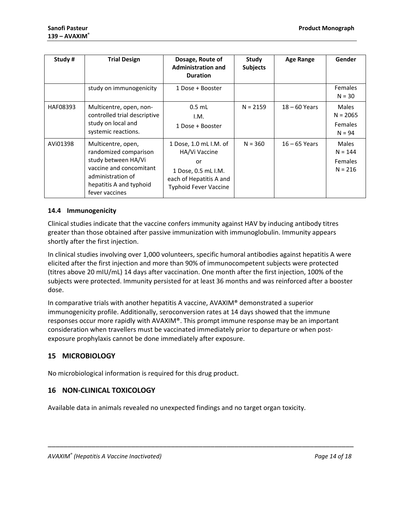| Study#   | <b>Trial Design</b>                                                                                                                                             | Dosage, Route of<br><b>Administration and</b><br><b>Duration</b>                                                                | Study<br><b>Subjects</b> | <b>Age Range</b> | Gender                                                   |
|----------|-----------------------------------------------------------------------------------------------------------------------------------------------------------------|---------------------------------------------------------------------------------------------------------------------------------|--------------------------|------------------|----------------------------------------------------------|
|          | study on immunogenicity                                                                                                                                         | 1 Dose + Booster                                                                                                                |                          |                  | <b>Females</b><br>$N = 30$                               |
| HAF08393 | Multicentre, open, non-<br>controlled trial descriptive<br>study on local and<br>systemic reactions.                                                            | $0.5$ mL<br>I.M.<br>1 Dose + Booster                                                                                            | $N = 2159$               | $18 - 60$ Years  | <b>Males</b><br>$N = 2065$<br><b>Females</b><br>$N = 94$ |
| AVi01398 | Multicentre, open,<br>randomized comparison<br>study between HA/Vi<br>vaccine and concomitant<br>administration of<br>hepatitis A and typhoid<br>fever vaccines | 1 Dose, 1.0 mL I.M. of<br>HA/Vi Vaccine<br>or<br>1 Dose, 0.5 mL I.M.<br>each of Hepatitis A and<br><b>Typhoid Fever Vaccine</b> | $N = 360$                | $16 - 65$ Years  | Males<br>$N = 144$<br><b>Females</b><br>$N = 216$        |

## <span id="page-13-0"></span>**14.4 Immunogenicity**

Clinical studies indicate that the vaccine confers immunity against HAV by inducing antibody titres greater than those obtained after passive immunization with immunoglobulin. Immunity appears shortly after the first injection.

In clinical studies involving over 1,000 volunteers, specific humoral antibodies against hepatitis A were elicited after the first injection and more than 90% of immunocompetent subjects were protected (titres above 20 mIU/mL) 14 days after vaccination. One month after the first injection, 100% of the subjects were protected. Immunity persisted for at least 36 months and was reinforced after a booster dose.

In comparative trials with another hepatitis A vaccine, AVAXIM® demonstrated a superior immunogenicity profile. Additionally, seroconversion rates at 14 days showed that the immune responses occur more rapidly with AVAXIM®. This prompt immune response may be an important consideration when travellers must be vaccinated immediately prior to departure or when postexposure prophylaxis cannot be done immediately after exposure.

## <span id="page-13-1"></span>**15 MICROBIOLOGY**

No microbiological information is required for this drug product.

## <span id="page-13-2"></span>**16 NON-CLINICAL TOXICOLOGY**

Available data in animals revealed no unexpected findings and no target organ toxicity.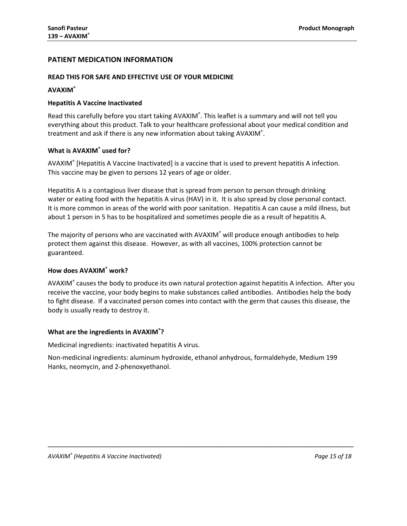## <span id="page-14-0"></span>**PATIENT MEDICATION INFORMATION**

#### **READ THIS FOR SAFE AND EFFECTIVE USE OF YOUR MEDICINE**

#### **AVAXIM®**

#### **Hepatitis A Vaccine Inactivated**

Read this carefully before you start taking AVAXIM®. This leaflet is a summary and will not tell you everything about this product. Talk to your healthcare professional about your medical condition and treatment and ask if there is any new information about taking AVAXIM®.

#### **What is AVAXIM® used for?**

AVAXIM® [Hepatitis A Vaccine Inactivated] is a vaccine that is used to prevent hepatitis A infection. This vaccine may be given to persons 12 years of age or older.

Hepatitis A is a contagious liver disease that is spread from person to person through drinking water or eating food with the hepatitis A virus (HAV) in it. It is also spread by close personal contact. It is more common in areas of the world with poor sanitation. Hepatitis A can cause a mild illness, but about 1 person in 5 has to be hospitalized and sometimes people die as a result of hepatitis A.

The majority of persons who are vaccinated with AVAXIM<sup>®</sup> will produce enough antibodies to help protect them against this disease. However, as with all vaccines, 100% protection cannot be guaranteed.

## **How does AVAXIM® work?**

AVAXIM® causes the body to produce its own natural protection against hepatitis A infection. After you receive the vaccine, your body begins to make substances called antibodies. Antibodies help the body to fight disease. If a vaccinated person comes into contact with the germ that causes this disease, the body is usually ready to destroy it.

#### **What are the ingredients in AVAXIM® ?**

Medicinal ingredients: inactivated hepatitis A virus.

Non-medicinal ingredients: aluminum hydroxide, ethanol anhydrous, formaldehyde, Medium 199 Hanks, neomycin, and 2-phenoxyethanol.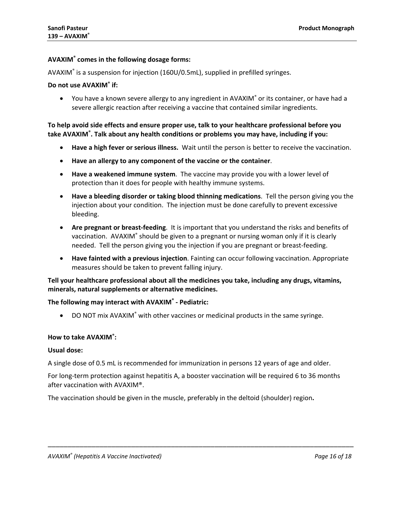#### **AVAXIM® comes in the following dosage forms:**

AVAXIM® is a suspension for injection (160U/0.5mL), supplied in prefilled syringes.

#### **Do not use AVAXIM® if:**

• You have a known severe allergy to any ingredient in AVAXIM<sup>®</sup> or its container, or have had a severe allergic reaction after receiving a vaccine that contained similar ingredients.

**To help avoid side effects and ensure proper use, talk to your healthcare professional before you take AVAXIM® . Talk about any health conditions or problems you may have, including if you:**

- **Have a high fever or serious illness.** Wait until the person is better to receive the vaccination.
- **Have an allergy to any component of the vaccine or the container**.
- **Have a weakened immune system**. The vaccine may provide you with a lower level of protection than it does for people with healthy immune systems.
- **Have a bleeding disorder or taking blood thinning medications**. Tell the person giving you the injection about your condition. The injection must be done carefully to prevent excessive bleeding.
- **Are pregnant or breast-feeding**. It is important that you understand the risks and benefits of vaccination. AVAXIM® should be given to a pregnant or nursing woman only if it is clearly needed. Tell the person giving you the injection if you are pregnant or breast-feeding.
- **Have fainted with a previous injection**. Fainting can occur following vaccination. Appropriate measures should be taken to prevent falling injury.

**Tell your healthcare professional about all the medicines you take, including any drugs, vitamins, minerals, natural supplements or alternative medicines.**

#### **The following may interact with AVAXIM® - Pediatric:**

• DO NOT mix AVAXIM<sup>®</sup> with other vaccines or medicinal products in the same syringe.

#### **How to take AVAXIM® :**

#### **Usual dose:**

A single dose of 0.5 mL is recommended for immunization in persons 12 years of age and older.

For long-term protection against hepatitis A, a booster vaccination will be required 6 to 36 months after vaccination with AVAXIM®.

\_\_\_\_\_\_\_\_\_\_\_\_\_\_\_\_\_\_\_\_\_\_\_\_\_\_\_\_\_\_\_\_\_\_\_\_\_\_\_\_\_\_\_\_\_\_\_\_\_\_\_\_\_\_\_\_\_\_\_\_\_\_\_\_\_\_\_\_\_\_\_\_\_\_\_\_\_

The vaccination should be given in the muscle, preferably in the deltoid (shoulder) region**.**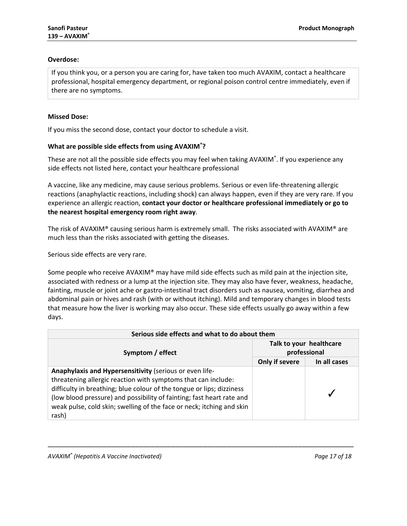## **Overdose:**

If you think you, or a person you are caring for, have taken too much AVAXIM, contact a healthcare professional, hospital emergency department, or regional poison control centre immediately, even if there are no symptoms.

## **Missed Dose:**

If you miss the second dose, contact your doctor to schedule a visit.

## **What are possible side effects from using AVAXIM® ?**

These are not all the possible side effects you may feel when taking AVAXIM®. If you experience any side effects not listed here, contact your healthcare professional

A vaccine, like any medicine, may cause serious problems. Serious or even life-threatening allergic reactions (anaphylactic reactions, including shock) can always happen, even if they are very rare. If you experience an allergic reaction, **contact your doctor or healthcare professional immediately or go to the nearest hospital emergency room right away**.

The risk of AVAXIM® causing serious harm is extremely small. The risks associated with AVAXIM® are much less than the risks associated with getting the diseases.

Serious side effects are very rare.

Some people who receive AVAXIM® may have mild side effects such as mild pain at the injection site, associated with redness or a lump at the injection site. They may also have fever, weakness, headache, fainting, muscle or joint ache or gastro-intestinal tract disorders such as nausea, vomiting, diarrhea and abdominal pain or hives and rash (with or without itching). Mild and temporary changes in blood tests that measure how the liver is working may also occur. These side effects usually go away within a few days.

| Serious side effects and what to do about them                                                                                                                                                                                                                                                                                                               |                                         |              |  |  |
|--------------------------------------------------------------------------------------------------------------------------------------------------------------------------------------------------------------------------------------------------------------------------------------------------------------------------------------------------------------|-----------------------------------------|--------------|--|--|
| Symptom / effect                                                                                                                                                                                                                                                                                                                                             | Talk to your healthcare<br>professional |              |  |  |
|                                                                                                                                                                                                                                                                                                                                                              | Only if severe                          | In all cases |  |  |
| Anaphylaxis and Hypersensitivity (serious or even life-<br>threatening allergic reaction with symptoms that can include:<br>difficulty in breathing; blue colour of the tongue or lips; dizziness<br>(low blood pressure) and possibility of fainting; fast heart rate and<br>weak pulse, cold skin; swelling of the face or neck; itching and skin<br>rash) |                                         |              |  |  |